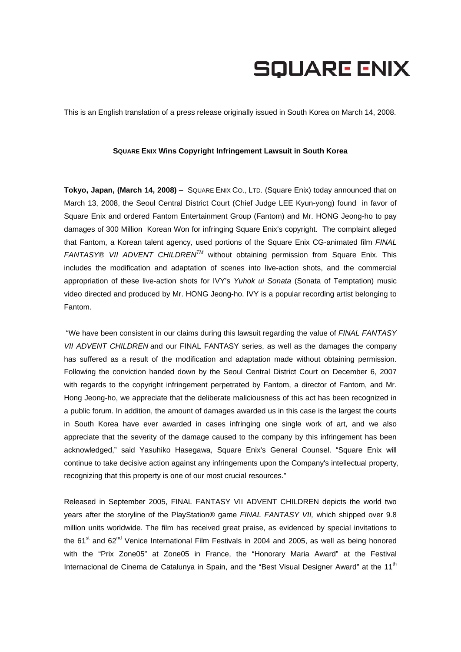## **SQUARE ENIX**

This is an English translation of a press release originally issued in South Korea on March 14, 2008.

## **SQUARE ENIX Wins Copyright Infringement Lawsuit in South Korea**

**Tokyo, Japan, (March 14, 2008)** – SQUARE ENIX CO., LTD. (Square Enix) today announced that on March 13, 2008, the Seoul Central District Court (Chief Judge LEE Kyun-yong) found in favor of Square Enix and ordered Fantom Entertainment Group (Fantom) and Mr. HONG Jeong-ho to pay damages of 300 Million Korean Won for infringing Square Enix's copyright. The complaint alleged that Fantom, a Korean talent agency, used portions of the Square Enix CG-animated film *FINAL FANTASY® VII ADVENT CHILDRENTM* without obtaining permission from Square Enix. This includes the modification and adaptation of scenes into live-action shots, and the commercial appropriation of these live-action shots for IVY's *Yuhok ui Sonata* (Sonata of Temptation) music video directed and produced by Mr. HONG Jeong-ho. IVY is a popular recording artist belonging to Fantom.

 "We have been consistent in our claims during this lawsuit regarding the value of *FINAL FANTASY VII ADVENT CHILDREN* and our FINAL FANTASY series, as well as the damages the company has suffered as a result of the modification and adaptation made without obtaining permission. Following the conviction handed down by the Seoul Central District Court on December 6, 2007 with regards to the copyright infringement perpetrated by Fantom, a director of Fantom, and Mr. Hong Jeong-ho, we appreciate that the deliberate maliciousness of this act has been recognized in a public forum. In addition, the amount of damages awarded us in this case is the largest the courts in South Korea have ever awarded in cases infringing one single work of art, and we also appreciate that the severity of the damage caused to the company by this infringement has been acknowledged," said Yasuhiko Hasegawa, Square Enix's General Counsel. "Square Enix will continue to take decisive action against any infringements upon the Company's intellectual property, recognizing that this property is one of our most crucial resources."

Released in September 2005, FINAL FANTASY VII ADVENT CHILDREN depicts the world two years after the storyline of the PlayStation® game *FINAL FANTASY VII,* which shipped over 9.8 million units worldwide. The film has received great praise, as evidenced by special invitations to the  $61<sup>st</sup>$  and  $62<sup>nd</sup>$  Venice International Film Festivals in 2004 and 2005, as well as being honored with the "Prix Zone05" at Zone05 in France, the "Honorary Maria Award" at the Festival Internacional de Cinema de Catalunya in Spain, and the "Best Visual Designer Award" at the 11<sup>th</sup>